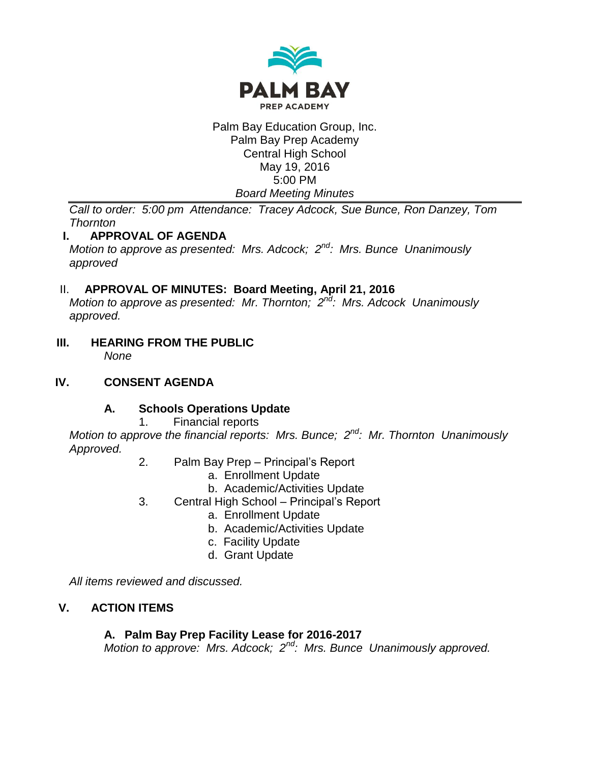

## Palm Bay Education Group, Inc. Palm Bay Prep Academy Central High School May 19, 2016 5:00 PM *Board Meeting Minutes*

*Call to order: 5:00 pm Attendance: Tracey Adcock, Sue Bunce, Ron Danzey, Tom Thornton*

# **I. APPROVAL OF AGENDA**

*Motion to approve as presented: Mrs. Adcock; 2nd: Mrs. Bunce Unanimously approved*

# II. **APPROVAL OF MINUTES: Board Meeting, April 21, 2016**

*Motion to approve as presented: Mr. Thornton; 2nd: Mrs. Adcock Unanimously approved.*

**III. HEARING FROM THE PUBLIC** *None*

## **IV. CONSENT AGENDA**

# **A. Schools Operations Update**

1. Financial reports

*Motion to approve the financial reports: Mrs. Bunce; 2nd: Mr. Thornton Unanimously Approved.*

- 2. Palm Bay Prep Principal's Report
	- a. Enrollment Update
	- b. Academic/Activities Update
- 3. Central High School Principal's Report
	- a. Enrollment Update
	- b. Academic/Activities Update
	- c. Facility Update
	- d. Grant Update

*All items reviewed and discussed.*

# **V. ACTION ITEMS**

## **A. Palm Bay Prep Facility Lease for 2016-2017**

*Motion to approve: Mrs. Adcock; 2nd: Mrs. Bunce Unanimously approved.*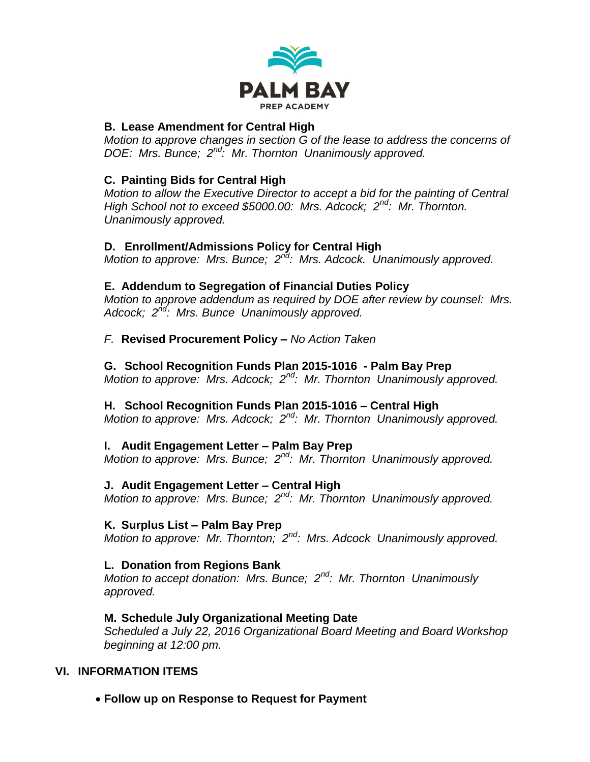

## **B. Lease Amendment for Central High**

*Motion to approve changes in section G of the lease to address the concerns of DOE: Mrs. Bunce; 2nd: Mr. Thornton Unanimously approved.*

## **C. Painting Bids for Central High**

*Motion to allow the Executive Director to accept a bid for the painting of Central High School not to exceed \$5000.00: Mrs. Adcock; 2nd: Mr. Thornton. Unanimously approved.*

## **D. Enrollment/Admissions Policy for Central High**

*Motion to approve: Mrs. Bunce; 2nd: Mrs. Adcock. Unanimously approved.*

## **E. Addendum to Segregation of Financial Duties Policy**

*Motion to approve addendum as required by DOE after review by counsel: Mrs. Adcock; 2nd: Mrs. Bunce Unanimously approved.*

## *F.* **Revised Procurement Policy –** *No Action Taken*

**G. School Recognition Funds Plan 2015-1016 - Palm Bay Prep** *Motion to approve: Mrs. Adcock; 2nd: Mr. Thornton Unanimously approved.*

## **H. School Recognition Funds Plan 2015-1016 – Central High**

*Motion to approve: Mrs. Adcock; 2nd: Mr. Thornton Unanimously approved.*

# **I. Audit Engagement Letter – Palm Bay Prep**

*Motion to approve: Mrs. Bunce; 2nd: Mr. Thornton Unanimously approved.*

## **J. Audit Engagement Letter – Central High**

*Motion to approve: Mrs. Bunce; 2nd: Mr. Thornton Unanimously approved.*

## **K. Surplus List – Palm Bay Prep**

*Motion to approve: Mr. Thornton; 2nd: Mrs. Adcock Unanimously approved.*

## **L. Donation from Regions Bank**

*Motion to accept donation: Mrs. Bunce; 2nd: Mr. Thornton Unanimously approved.*

# **M. Schedule July Organizational Meeting Date**

*Scheduled a July 22, 2016 Organizational Board Meeting and Board Workshop beginning at 12:00 pm.*

# **VI. INFORMATION ITEMS**

**Follow up on Response to Request for Payment**